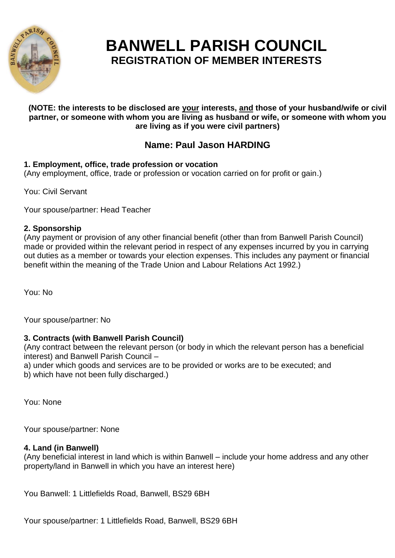

# **BANWELL PARISH COUNCIL REGISTRATION OF MEMBER INTERESTS**

#### **(NOTE: the interests to be disclosed are your interests, and those of your husband/wife or civil partner, or someone with whom you are living as husband or wife, or someone with whom you are living as if you were civil partners)**

# **Name: Paul Jason HARDING**

# **1. Employment, office, trade profession or vocation**

(Any employment, office, trade or profession or vocation carried on for profit or gain.)

You: Civil Servant

Your spouse/partner: Head Teacher

# **2. Sponsorship**

(Any payment or provision of any other financial benefit (other than from Banwell Parish Council) made or provided within the relevant period in respect of any expenses incurred by you in carrying out duties as a member or towards your election expenses. This includes any payment or financial benefit within the meaning of the Trade Union and Labour Relations Act 1992.)

You: No

Your spouse/partner: No

# **3. Contracts (with Banwell Parish Council)**

(Any contract between the relevant person (or body in which the relevant person has a beneficial interest) and Banwell Parish Council –

a) under which goods and services are to be provided or works are to be executed; and b) which have not been fully discharged.)

You: None

Your spouse/partner: None

# **4. Land (in Banwell)**

(Any beneficial interest in land which is within Banwell – include your home address and any other property/land in Banwell in which you have an interest here)

You Banwell: 1 Littlefields Road, Banwell, BS29 6BH

Your spouse/partner: 1 Littlefields Road, Banwell, BS29 6BH